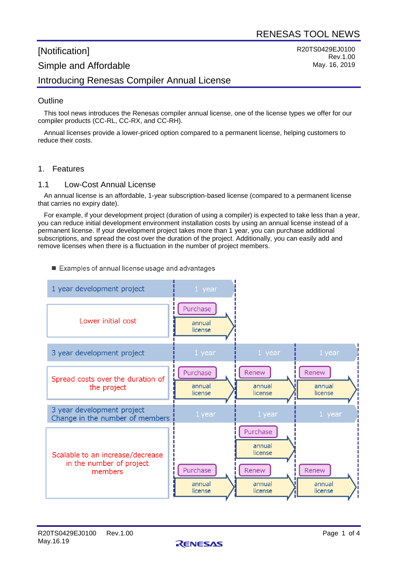R20TS0429EJ0100

Rev.1.00 May. 16, 2019

# [Notification] Simple and Affordable Introducing Renesas Compiler Annual License

# **Outline**

This tool news introduces the Renesas compiler annual license, one of the license types we offer for our compiler products (CC-RL, CC-RX, and CC-RH).

Annual licenses provide a lower-priced option compared to a permanent license, helping customers to reduce their costs.

#### 1. Features

#### 1.1 Low-Cost Annual License

An annual license is an affordable, 1-year subscription-based license (compared to a permanent license that carries no expiry date).

For example, if your development project (duration of using a compiler) is expected to take less than a year, you can reduce initial development environment installation costs by using an annual license instead of a permanent license. If your development project takes more than 1 year, you can purchase additional subscriptions, and spread the cost over the duration of the project. Additionally, you can easily add and remove licenses when there is a fluctuation in the number of project members.

#### Examples of annual license usage and advantages



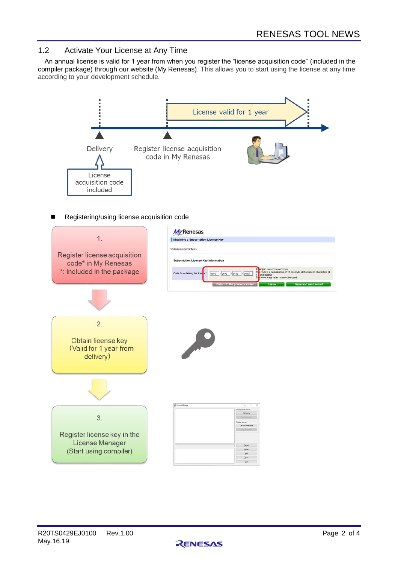# 1.2 Activate Your License at Any Time

An annual license is valid for 1 year from when you register the "license acquisition code" (included in the compiler package) through our website (My Renesas). This allows you to start using the license at any time according to your development schedule.





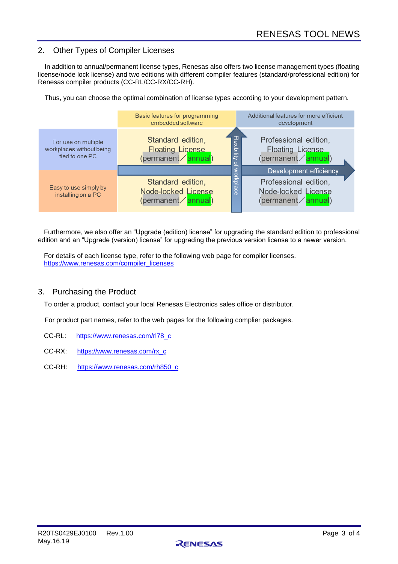# 2. Other Types of Compiler Licenses

In addition to annual/permanent license types, Renesas also offers two license management types (floating license/node lock license) and two editions with different compiler features (standard/professional edition) for Renesas compiler products (CC-RL/CC-RX/CC-RH).

Thus, you can choose the optimal combination of license types according to your development pattern.



Furthermore, we also offer an "Upgrade (edition) license" for upgrading the standard edition to professional edition and an "Upgrade (version) license" for upgrading the previous version license to a newer version.

For details of each license type, refer to the following web page for compiler licenses. [https://www.renesas.com/compiler\\_licenses](https://www.renesas.com/compiler_licenses)

#### 3. Purchasing the Product

To order a product, contact your local Renesas Electronics sales office or distributor.

For product part names, refer to the web pages for the following complier packages.

- CC-RL: [https://www.renesas.com/rl78\\_c](https://www.renesas.com/rl78_c)
- CC-RX: [https://www.renesas.com/rx\\_c](https://www.renesas.com/rx_c)
- CC-RH: [https://www.renesas.com/rh850\\_c](https://www.renesas.com/rh850_c)